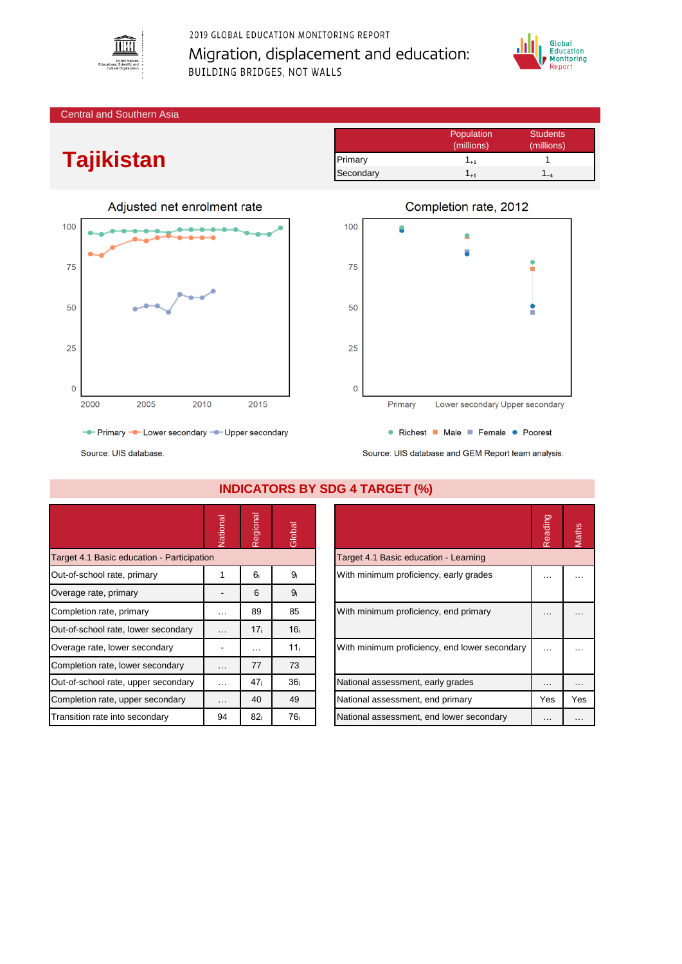

2019 GLOBAL EDUCATION MONITORING REPORT Migration, displacement and education: BUILDING BRIDGES, NOT WALLS



## Central and Southern Asia

## **Tajikistan**

| Adjusted net enrolment rate |                                             |      |      |      |  |  |  |  |
|-----------------------------|---------------------------------------------|------|------|------|--|--|--|--|
| 100                         |                                             |      |      |      |  |  |  |  |
| 75                          |                                             |      |      |      |  |  |  |  |
| 50                          |                                             |      |      |      |  |  |  |  |
| 25                          |                                             |      |      |      |  |  |  |  |
| $\mathbf 0$                 |                                             |      |      |      |  |  |  |  |
|                             | 2000                                        | 2005 | 2010 | 2015 |  |  |  |  |
|                             | Primary - Lower secondary - Upper secondary |      |      |      |  |  |  |  |

|           | Population | <b>Students</b> |
|-----------|------------|-----------------|
|           | (millions) | (millions)      |
| Primary   | 141        |                 |
| Secondary | ۰.,        |                 |



Source: UIS database and GEM Report team analysis.

Source: UIS database.

|                                            | Vational | Regional        | Global          |                                   |                                               | Reading  | Maths    |  |  |  |  |
|--------------------------------------------|----------|-----------------|-----------------|-----------------------------------|-----------------------------------------------|----------|----------|--|--|--|--|
| Target 4.1 Basic education - Participation |          |                 |                 |                                   | Target 4.1 Basic education - Learning         |          |          |  |  |  |  |
| Out-of-school rate, primary                |          | 6 <sub>i</sub>  | 9 <sub>i</sub>  |                                   | With minimum proficiency, early grades        | $\cdots$ | .        |  |  |  |  |
| Overage rate, primary                      |          | 6               | 9 <sub>i</sub>  |                                   |                                               |          |          |  |  |  |  |
| Completion rate, primary                   | .        | 89              | 85              |                                   | With minimum proficiency, end primary         | $\cdots$ | $\cdots$ |  |  |  |  |
| Out-of-school rate, lower secondary        | $\cdots$ | 17 <sub>i</sub> | 16 <sub>i</sub> |                                   |                                               |          |          |  |  |  |  |
| Overage rate, lower secondary              |          | $\cdots$        | 11 <sub>i</sub> |                                   | With minimum proficiency, end lower secondary | $\cdots$ | $\cdots$ |  |  |  |  |
| Completion rate, lower secondary           | $\cdots$ | 77              | 73              |                                   |                                               |          |          |  |  |  |  |
| Out-of-school rate, upper secondary        | $\cdots$ | 47 <sub>i</sub> | 36 <sub>i</sub> | National assessment, early grades |                                               | $\cdots$ | $\cdots$ |  |  |  |  |
| Completion rate, upper secondary           | .        | 40              | 49              | National assessment, end primary  |                                               | Yes      | Yes      |  |  |  |  |
| Transition rate into secondary             | 94       | 82 <sub>i</sub> | 76 <sub>i</sub> |                                   | National assessment, end lower secondary      | $\cdots$ | $\cdots$ |  |  |  |  |

**INDICATORS BY SDG 4 TARGET (%)**

|                                               | Reading | Vlaths |
|-----------------------------------------------|---------|--------|
| Target 4.1 Basic education - Learning         |         |        |
| With minimum proficiency, early grades        |         |        |
| With minimum proficiency, end primary         |         |        |
| With minimum proficiency, end lower secondary |         |        |
| National assessment, early grades             |         |        |
| National assessment, end primary              | Yes     | Yes    |
| National assessment, end lower secondary      |         |        |